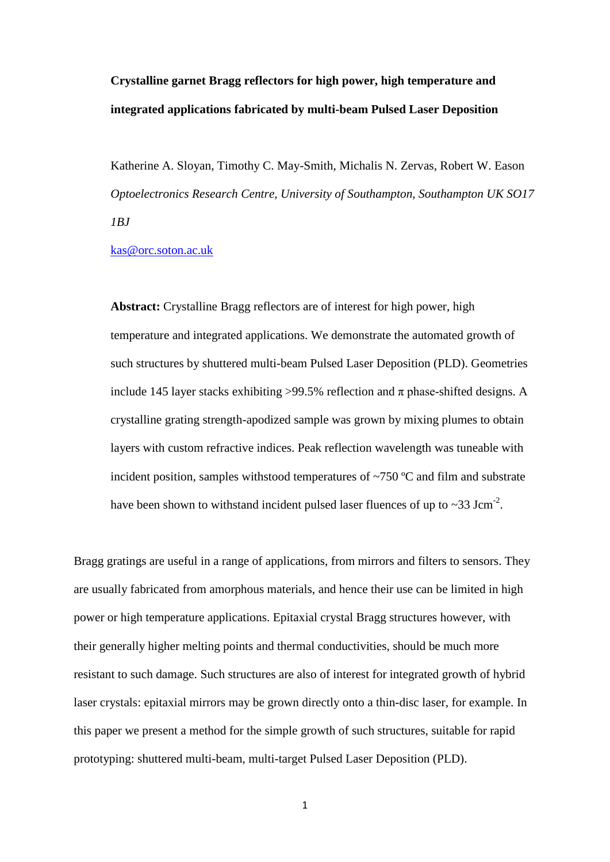**Crystalline garnet Bragg reflectors for high power, high temperature and integrated applications fabricated by multi-beam Pulsed Laser Deposition**

Katherine A. Sloyan, Timothy C. May-Smith, Michalis N. Zervas, Robert W. Eason *Optoelectronics Research Centre, University of Southampton, Southampton UK SO17 1BJ*

[kas@orc.soton.ac.uk](mailto:kas@orc.soton.ac.uk)

**Abstract:** Crystalline Bragg reflectors are of interest for high power, high temperature and integrated applications. We demonstrate the automated growth of such structures by shuttered multi-beam Pulsed Laser Deposition (PLD). Geometries include 145 layer stacks exhibiting >99.5% reflection and  $\pi$  phase-shifted designs. A crystalline grating strength-apodized sample was grown by mixing plumes to obtain layers with custom refractive indices. Peak reflection wavelength was tuneable with incident position, samples withstood temperatures of ~750 ºC and film and substrate have been shown to withstand incident pulsed laser fluences of up to  $\sim$ 33 Jcm<sup>-2</sup>.

Bragg gratings are useful in a range of applications, from mirrors and filters to sensors. They are usually fabricated from amorphous materials, and hence their use can be limited in high power or high temperature applications. Epitaxial crystal Bragg structures however, with their generally higher melting points and thermal conductivities, should be much more resistant to such damage. Such structures are also of interest for integrated growth of hybrid laser crystals: epitaxial mirrors may be grown directly onto a thin-disc laser, for example. In this paper we present a method for the simple growth of such structures, suitable for rapid prototyping: shuttered multi-beam, multi-target Pulsed Laser Deposition (PLD).

1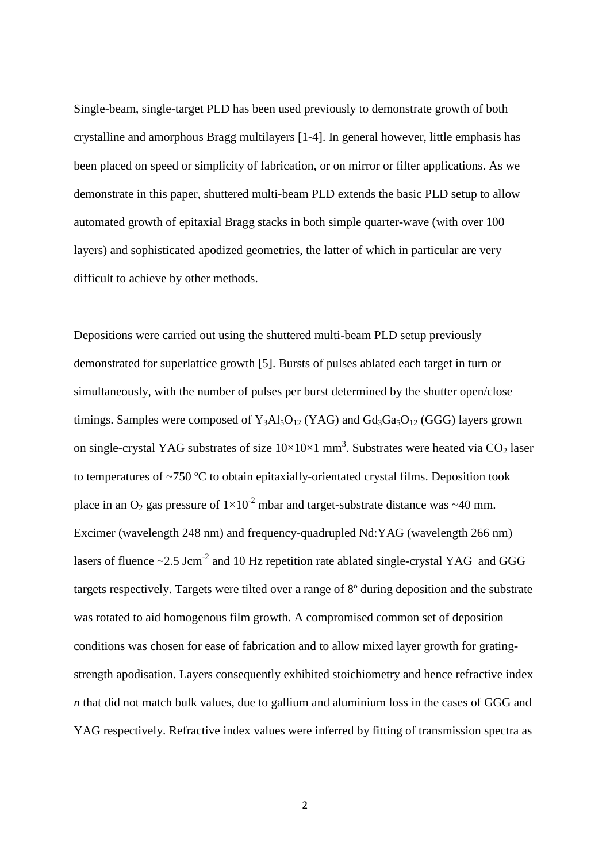Single-beam, single-target PLD has been used previously to demonstrate growth of both crystalline and amorphous Bragg multilayers [1-4]. In general however, little emphasis has been placed on speed or simplicity of fabrication, or on mirror or filter applications. As we demonstrate in this paper, shuttered multi-beam PLD extends the basic PLD setup to allow automated growth of epitaxial Bragg stacks in both simple quarter-wave (with over 100 layers) and sophisticated apodized geometries, the latter of which in particular are very difficult to achieve by other methods.

Depositions were carried out using the shuttered multi-beam PLD setup previously demonstrated for superlattice growth [5]. Bursts of pulses ablated each target in turn or simultaneously, with the number of pulses per burst determined by the shutter open/close timings. Samples were composed of  $Y_3A\&I_3O_{12}$  (YAG) and  $Gd_3Ga_3O_{12}$  (GGG) layers grown on single-crystal YAG substrates of size  $10\times10\times1$  mm<sup>3</sup>. Substrates were heated via CO<sub>2</sub> laser to temperatures of ~750 ºC to obtain epitaxially-orientated crystal films. Deposition took place in an  $O_2$  gas pressure of  $1\times10^{-2}$  mbar and target-substrate distance was  $\sim$ 40 mm. Excimer (wavelength 248 nm) and frequency-quadrupled Nd:YAG (wavelength 266 nm) lasers of fluence  $\sim$  2.5 Jcm<sup>-2</sup> and 10 Hz repetition rate ablated single-crystal YAG and GGG targets respectively. Targets were tilted over a range of 8º during deposition and the substrate was rotated to aid homogenous film growth. A compromised common set of deposition conditions was chosen for ease of fabrication and to allow mixed layer growth for gratingstrength apodisation. Layers consequently exhibited stoichiometry and hence refractive index *n* that did not match bulk values, due to gallium and aluminium loss in the cases of GGG and YAG respectively. Refractive index values were inferred by fitting of transmission spectra as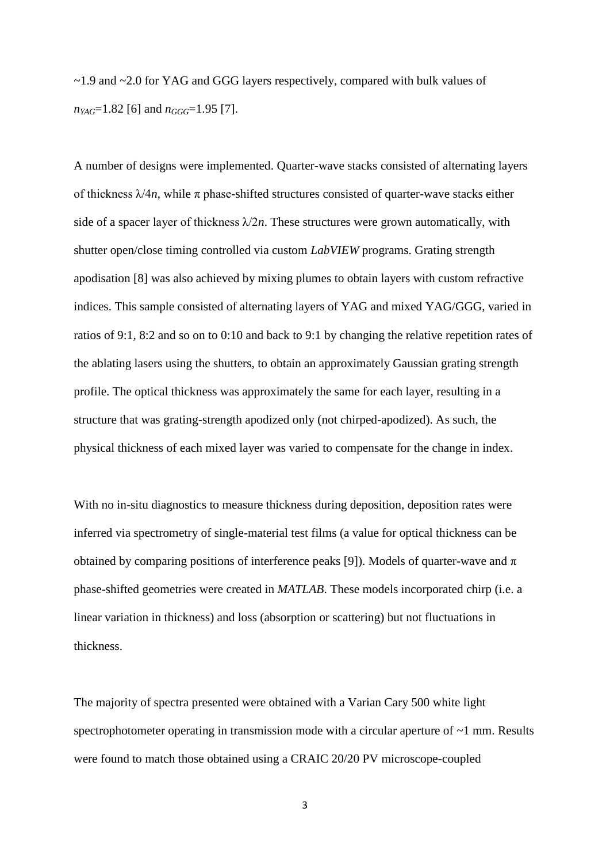~1.9 and ~2.0 for YAG and GGG layers respectively, compared with bulk values of  $n_{YAG}$ =1.82 [6] and  $n_{GGG}$ =1.95 [7].

A number of designs were implemented. Quarter-wave stacks consisted of alternating layers of thickness  $\lambda/4n$ , while  $\pi$  phase-shifted structures consisted of quarter-wave stacks either side of a spacer layer of thickness  $\lambda/2n$ . These structures were grown automatically, with shutter open/close timing controlled via custom *LabVIEW* programs. Grating strength apodisation [8] was also achieved by mixing plumes to obtain layers with custom refractive indices. This sample consisted of alternating layers of YAG and mixed YAG/GGG, varied in ratios of 9:1, 8:2 and so on to 0:10 and back to 9:1 by changing the relative repetition rates of the ablating lasers using the shutters, to obtain an approximately Gaussian grating strength profile. The optical thickness was approximately the same for each layer, resulting in a structure that was grating-strength apodized only (not chirped-apodized). As such, the physical thickness of each mixed layer was varied to compensate for the change in index.

With no in-situ diagnostics to measure thickness during deposition, deposition rates were inferred via spectrometry of single-material test films (a value for optical thickness can be obtained by comparing positions of interference peaks [9]). Models of quarter-wave and  $\pi$ phase-shifted geometries were created in *MATLAB*. These models incorporated chirp (i.e. a linear variation in thickness) and loss (absorption or scattering) but not fluctuations in thickness.

The majority of spectra presented were obtained with a Varian Cary 500 white light spectrophotometer operating in transmission mode with a circular aperture of  $\sim$ 1 mm. Results were found to match those obtained using a CRAIC 20/20 PV microscope-coupled

3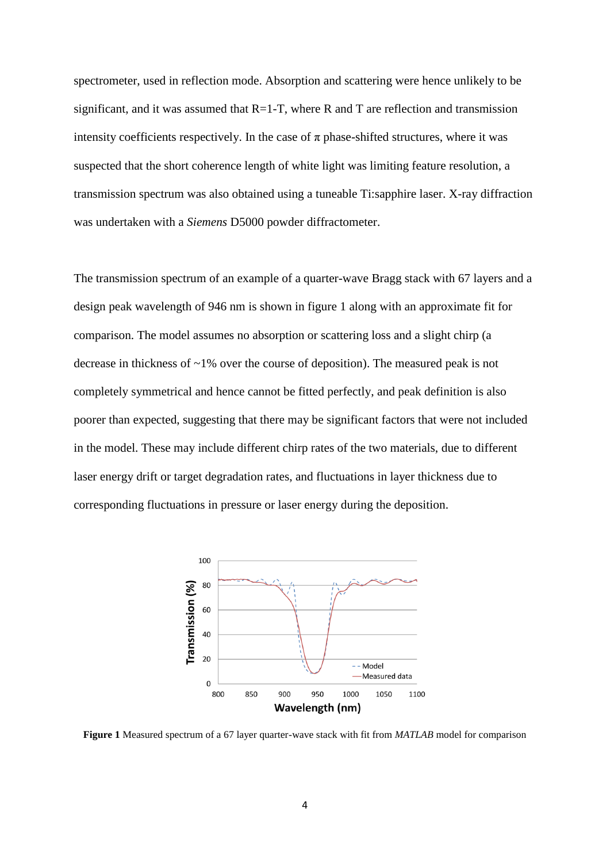spectrometer, used in reflection mode. Absorption and scattering were hence unlikely to be significant, and it was assumed that  $R=1-T$ , where R and T are reflection and transmission intensity coefficients respectively. In the case of  $\pi$  phase-shifted structures, where it was suspected that the short coherence length of white light was limiting feature resolution, a transmission spectrum was also obtained using a tuneable Ti:sapphire laser. X-ray diffraction was undertaken with a *Siemens* D5000 powder diffractometer.

The transmission spectrum of an example of a quarter-wave Bragg stack with 67 layers and a design peak wavelength of 946 nm is shown in figure 1 along with an approximate fit for comparison. The model assumes no absorption or scattering loss and a slight chirp (a decrease in thickness of ~1% over the course of deposition). The measured peak is not completely symmetrical and hence cannot be fitted perfectly, and peak definition is also poorer than expected, suggesting that there may be significant factors that were not included in the model. These may include different chirp rates of the two materials, due to different laser energy drift or target degradation rates, and fluctuations in layer thickness due to corresponding fluctuations in pressure or laser energy during the deposition.



**Figure 1** Measured spectrum of a 67 layer quarter-wave stack with fit from *MATLAB* model for comparison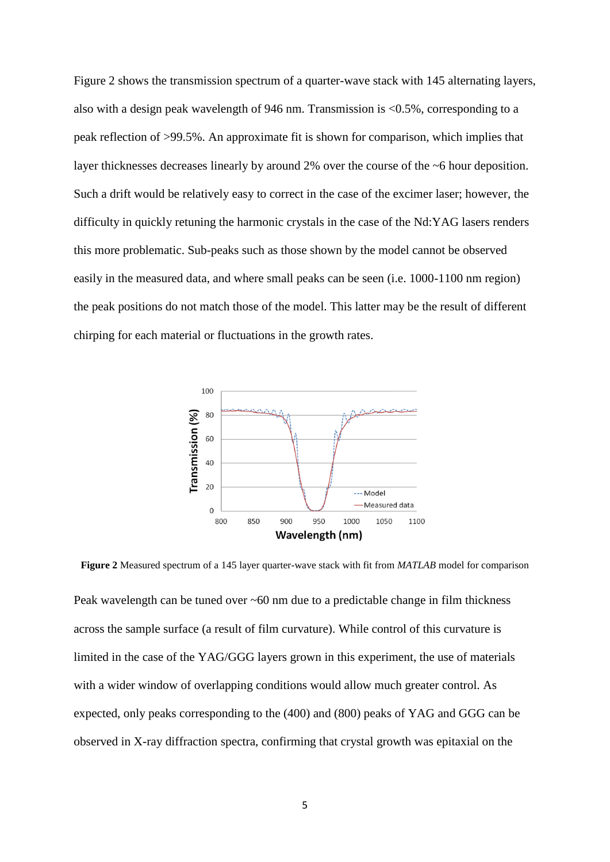Figure 2 shows the transmission spectrum of a quarter-wave stack with 145 alternating layers, also with a design peak wavelength of 946 nm. Transmission is <0.5%, corresponding to a peak reflection of >99.5%. An approximate fit is shown for comparison, which implies that layer thicknesses decreases linearly by around 2% over the course of the ~6 hour deposition. Such a drift would be relatively easy to correct in the case of the excimer laser; however, the difficulty in quickly retuning the harmonic crystals in the case of the Nd:YAG lasers renders this more problematic. Sub-peaks such as those shown by the model cannot be observed easily in the measured data, and where small peaks can be seen (i.e. 1000-1100 nm region) the peak positions do not match those of the model. This latter may be the result of different chirping for each material or fluctuations in the growth rates.



**Figure 2** Measured spectrum of a 145 layer quarter-wave stack with fit from *MATLAB* model for comparison Peak wavelength can be tuned over ~60 nm due to a predictable change in film thickness across the sample surface (a result of film curvature). While control of this curvature is limited in the case of the YAG/GGG layers grown in this experiment, the use of materials with a wider window of overlapping conditions would allow much greater control. As expected, only peaks corresponding to the (400) and (800) peaks of YAG and GGG can be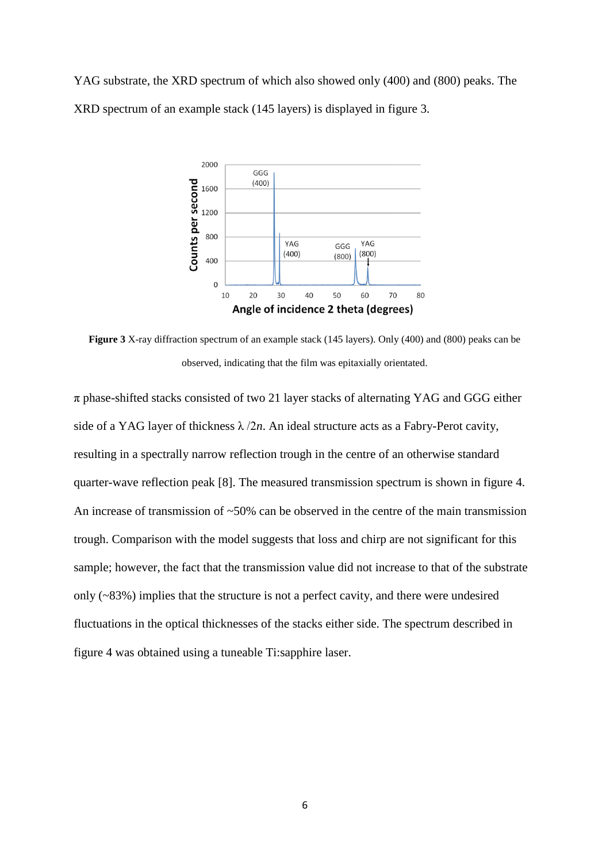YAG substrate, the XRD spectrum of which also showed only (400) and (800) peaks. The XRD spectrum of an example stack (145 layers) is displayed in figure 3.



**Figure 3** X-ray diffraction spectrum of an example stack (145 layers). Only (400) and (800) peaks can be observed, indicating that the film was epitaxially orientated.

 $\pi$  phase-shifted stacks consisted of two 21 layer stacks of alternating YAG and GGG either side of a YAG layer of thickness  $\lambda/2n$ . An ideal structure acts as a Fabry-Perot cavity, resulting in a spectrally narrow reflection trough in the centre of an otherwise standard quarter-wave reflection peak [8]. The measured transmission spectrum is shown in figure 4. An increase of transmission of ~50% can be observed in the centre of the main transmission trough. Comparison with the model suggests that loss and chirp are not significant for this sample; however, the fact that the transmission value did not increase to that of the substrate only (~83%) implies that the structure is not a perfect cavity, and there were undesired fluctuations in the optical thicknesses of the stacks either side. The spectrum described in figure 4 was obtained using a tuneable Ti:sapphire laser.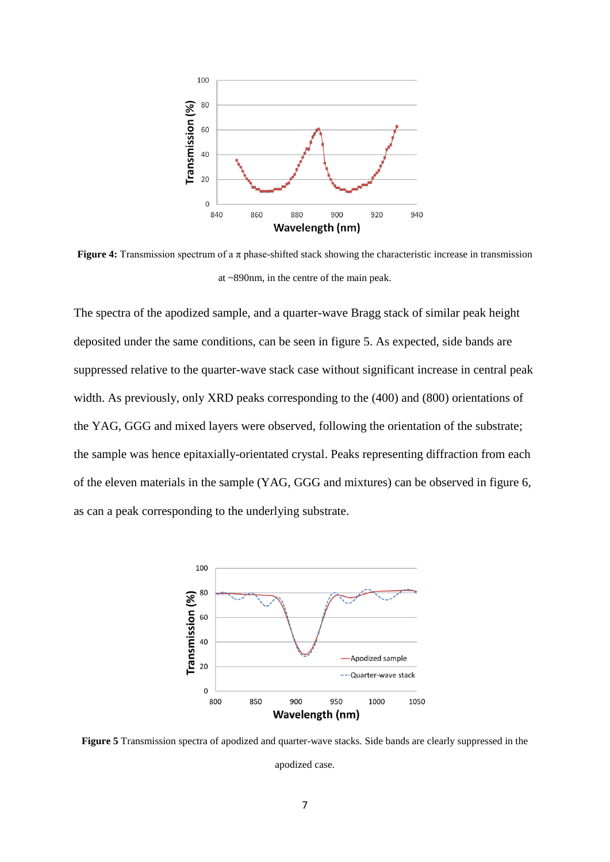

**Figure 4:** Transmission spectrum of a π phase-shifted stack showing the characteristic increase in transmission at ~890nm, in the centre of the main peak.

The spectra of the apodized sample, and a quarter-wave Bragg stack of similar peak height deposited under the same conditions, can be seen in figure 5. As expected, side bands are suppressed relative to the quarter-wave stack case without significant increase in central peak width. As previously, only XRD peaks corresponding to the (400) and (800) orientations of the YAG, GGG and mixed layers were observed, following the orientation of the substrate; the sample was hence epitaxially-orientated crystal. Peaks representing diffraction from each of the eleven materials in the sample (YAG, GGG and mixtures) can be observed in figure 6, as can a peak corresponding to the underlying substrate.



**Figure 5** Transmission spectra of apodized and quarter-wave stacks. Side bands are clearly suppressed in the apodized case.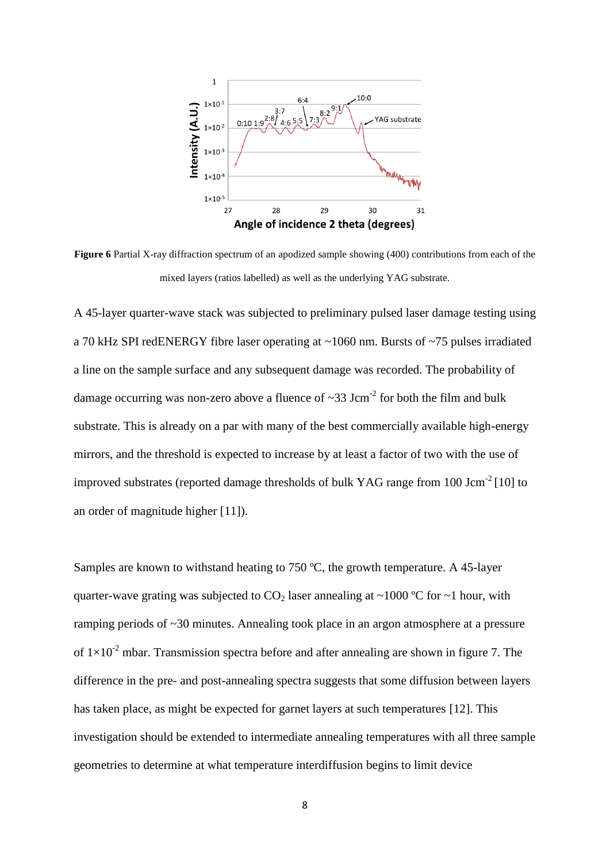

**Figure 6** Partial X-ray diffraction spectrum of an apodized sample showing (400) contributions from each of the mixed layers (ratios labelled) as well as the underlying YAG substrate.

A 45-layer quarter-wave stack was subjected to preliminary pulsed laser damage testing using a 70 kHz SPI redENERGY fibre laser operating at ~1060 nm. Bursts of ~75 pulses irradiated a line on the sample surface and any subsequent damage was recorded. The probability of damage occurring was non-zero above a fluence of  $\sim$ 33 Jcm<sup>-2</sup> for both the film and bulk substrate. This is already on a par with many of the best commercially available high-energy mirrors, and the threshold is expected to increase by at least a factor of two with the use of improved substrates (reported damage thresholds of bulk YAG range from 100 Jcm<sup>-2</sup> [10] to an order of magnitude higher [11]).

Samples are known to withstand heating to 750 ºC, the growth temperature. A 45-layer quarter-wave grating was subjected to  $CO<sub>2</sub>$  laser annealing at ~1000 °C for ~1 hour, with ramping periods of ~30 minutes. Annealing took place in an argon atmosphere at a pressure of  $1\times10^{-2}$  mbar. Transmission spectra before and after annealing are shown in figure 7. The difference in the pre- and post-annealing spectra suggests that some diffusion between layers has taken place, as might be expected for garnet layers at such temperatures [12]. This investigation should be extended to intermediate annealing temperatures with all three sample geometries to determine at what temperature interdiffusion begins to limit device

8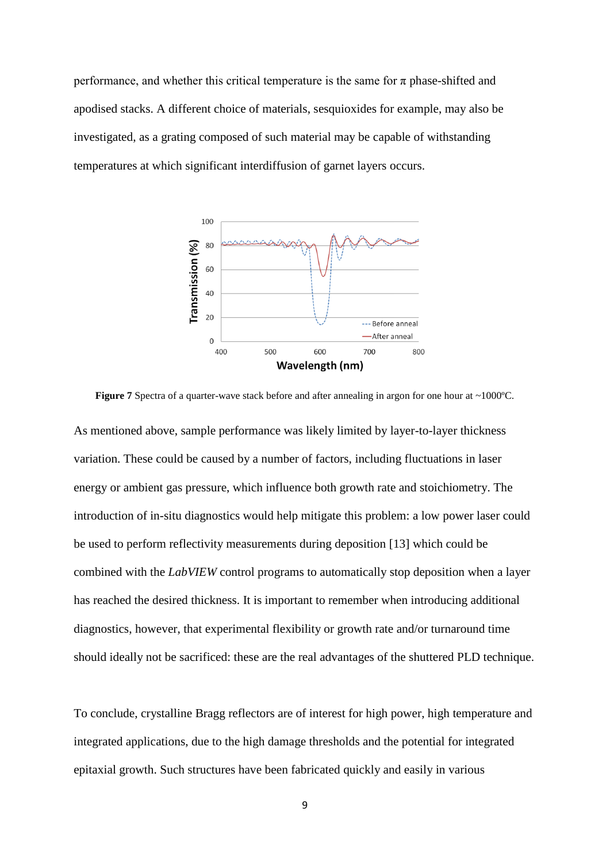performance, and whether this critical temperature is the same for  $\pi$  phase-shifted and apodised stacks. A different choice of materials, sesquioxides for example, may also be investigated, as a grating composed of such material may be capable of withstanding temperatures at which significant interdiffusion of garnet layers occurs.



**Figure 7** Spectra of a quarter-wave stack before and after annealing in argon for one hour at ~1000°C. As mentioned above, sample performance was likely limited by layer-to-layer thickness variation. These could be caused by a number of factors, including fluctuations in laser energy or ambient gas pressure, which influence both growth rate and stoichiometry. The introduction of in-situ diagnostics would help mitigate this problem: a low power laser could be used to perform reflectivity measurements during deposition [13] which could be combined with the *LabVIEW* control programs to automatically stop deposition when a layer has reached the desired thickness. It is important to remember when introducing additional diagnostics, however, that experimental flexibility or growth rate and/or turnaround time should ideally not be sacrificed: these are the real advantages of the shuttered PLD technique.

To conclude, crystalline Bragg reflectors are of interest for high power, high temperature and integrated applications, due to the high damage thresholds and the potential for integrated epitaxial growth. Such structures have been fabricated quickly and easily in various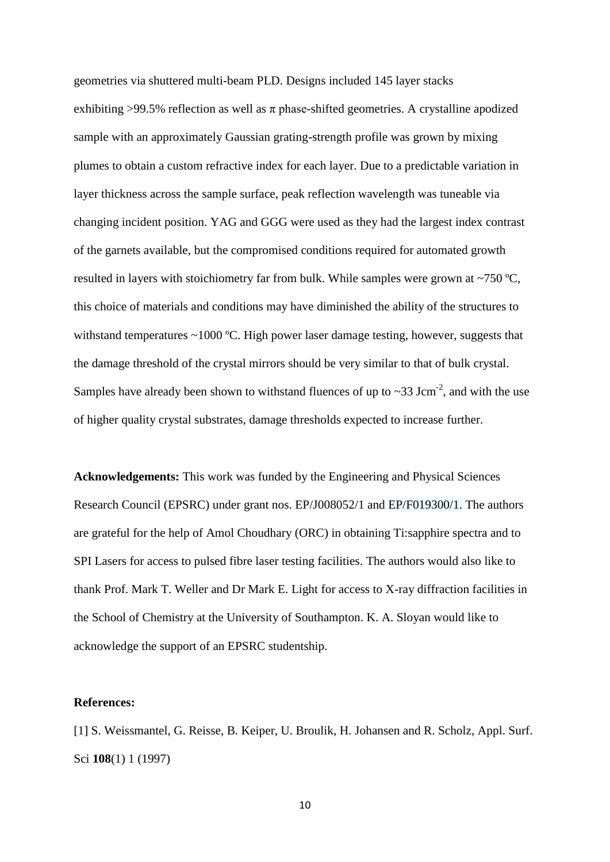geometries via shuttered multi-beam PLD. Designs included 145 layer stacks exhibiting >99.5% reflection as well as  $\pi$  phase-shifted geometries. A crystalline apodized sample with an approximately Gaussian grating-strength profile was grown by mixing plumes to obtain a custom refractive index for each layer. Due to a predictable variation in layer thickness across the sample surface, peak reflection wavelength was tuneable via changing incident position. YAG and GGG were used as they had the largest index contrast of the garnets available, but the compromised conditions required for automated growth resulted in layers with stoichiometry far from bulk. While samples were grown at ~750 ºC, this choice of materials and conditions may have diminished the ability of the structures to withstand temperatures ~1000 °C. High power laser damage testing, however, suggests that the damage threshold of the crystal mirrors should be very similar to that of bulk crystal. Samples have already been shown to withstand fluences of up to  $\sim$ 33 Jcm<sup>-2</sup>, and with the use of higher quality crystal substrates, damage thresholds expected to increase further.

**Acknowledgements:** This work was funded by the Engineering and Physical Sciences Research Council (EPSRC) under grant nos. EP/J008052/1 and EP/F019300/1. The authors are grateful for the help of Amol Choudhary (ORC) in obtaining Ti:sapphire spectra and to SPI Lasers for access to pulsed fibre laser testing facilities. The authors would also like to thank Prof. Mark T. Weller and Dr Mark E. Light for access to X-ray diffraction facilities in the School of Chemistry at the University of Southampton. K. A. Sloyan would like to acknowledge the support of an EPSRC studentship.

## **References:**

[1] S. Weissmantel, G. Reisse, B. Keiper, U. Broulik, H. Johansen and R. Scholz, Appl. Surf. Sci **108**(1) 1 (1997)